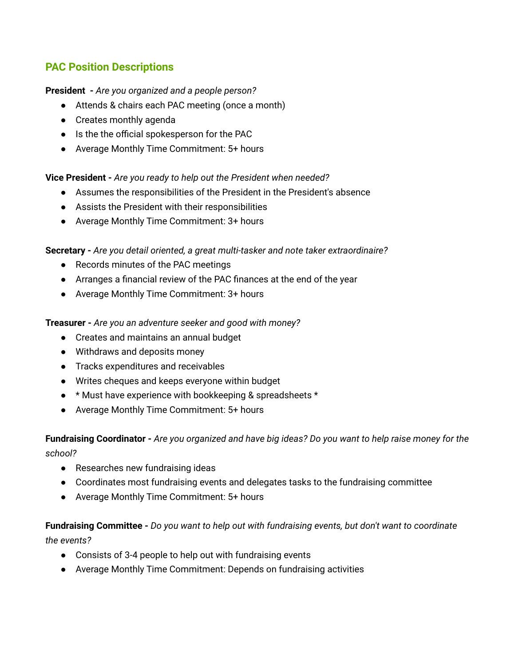# **PAC Position Descriptions**

### **President -** *Are you organized and a people person?*

- Attends & chairs each PAC meeting (once a month)
- Creates monthly agenda
- Is the the official spokesperson for the PAC
- Average Monthly Time Commitment: 5+ hours

## **Vice President -** *Are you ready to help out the President when needed?*

- Assumes the responsibilities of the President in the President's absence
- Assists the President with their responsibilities
- Average Monthly Time Commitment: 3+ hours

## **Secretary -** *Are you detail oriented, a great multi-tasker and note taker extraordinaire?*

- Records minutes of the PAC meetings
- Arranges a financial review of the PAC finances at the end of the year
- Average Monthly Time Commitment: 3+ hours

#### **Treasurer -** *Are you an adventure seeker and good with money?*

- Creates and maintains an annual budget
- Withdraws and deposits money
- Tracks expenditures and receivables
- Writes cheques and keeps everyone within budget
- \* Must have experience with bookkeeping & spreadsheets \*
- Average Monthly Time Commitment: 5+ hours

## Fundraising Coordinator - Are you organized and have big ideas? Do you want to help raise money for the *school?*

- Researches new fundraising ideas
- Coordinates most fundraising events and delegates tasks to the fundraising committee
- Average Monthly Time Commitment: 5+ hours

## **Fundraising Committee -** *Do you want to help out with fundraising events, but don't want to coordinate the events?*

- Consists of 3-4 people to help out with fundraising events
- Average Monthly Time Commitment: Depends on fundraising activities